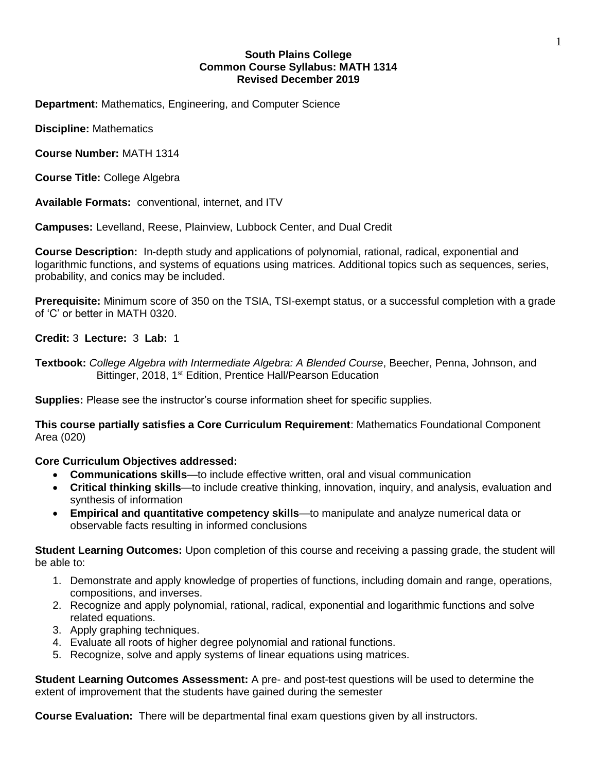# **South Plains College Common Course Syllabus: MATH 1314 Revised December 2019**

**Department:** Mathematics, Engineering, and Computer Science

**Discipline:** Mathematics

**Course Number:** MATH 1314

**Course Title:** College Algebra

**Available Formats:** conventional, internet, and ITV

**Campuses:** Levelland, Reese, Plainview, Lubbock Center, and Dual Credit

**Course Description:** In-depth study and applications of polynomial, rational, radical, exponential and logarithmic functions, and systems of equations using matrices. Additional topics such as sequences, series, probability, and conics may be included.

**Prerequisite:** Minimum score of 350 on the TSIA, TSI-exempt status, or a successful completion with a grade of 'C' or better in MATH 0320.

**Credit:** 3 **Lecture:** 3 **Lab:** 1

**Textbook:** *College Algebra with Intermediate Algebra: A Blended Course*, Beecher, Penna, Johnson, and Bittinger, 2018, 1<sup>st</sup> Edition, Prentice Hall/Pearson Education

**Supplies:** Please see the instructor's course information sheet for specific supplies.

**This course partially satisfies a Core Curriculum Requirement**: Mathematics Foundational Component Area (020)

**Core Curriculum Objectives addressed:**

- **Communications skills**—to include effective written, oral and visual communication
- **Critical thinking skills**—to include creative thinking, innovation, inquiry, and analysis, evaluation and synthesis of information
- **Empirical and quantitative competency skills**—to manipulate and analyze numerical data or observable facts resulting in informed conclusions

**Student Learning Outcomes:** Upon completion of this course and receiving a passing grade, the student will be able to:

- 1. Demonstrate and apply knowledge of properties of functions, including domain and range, operations, compositions, and inverses.
- 2. Recognize and apply polynomial, rational, radical, exponential and logarithmic functions and solve related equations.
- 3. Apply graphing techniques.
- 4. Evaluate all roots of higher degree polynomial and rational functions.
- 5. Recognize, solve and apply systems of linear equations using matrices.

**Student Learning Outcomes Assessment:** A pre- and post-test questions will be used to determine the extent of improvement that the students have gained during the semester

**Course Evaluation:** There will be departmental final exam questions given by all instructors.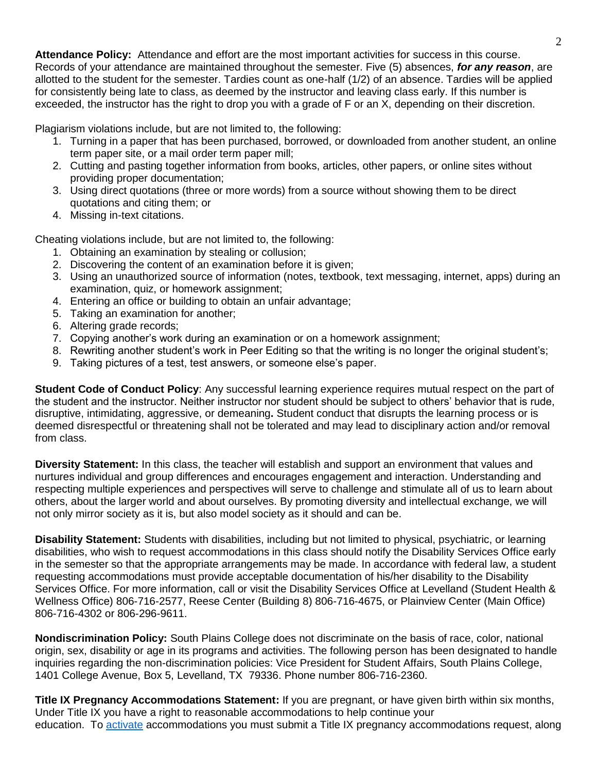**Attendance Policy:** Attendance and effort are the most important activities for success in this course. Records of your attendance are maintained throughout the semester. Five (5) absences, *for any reason*, are allotted to the student for the semester. Tardies count as one-half (1/2) of an absence. Tardies will be applied for consistently being late to class, as deemed by the instructor and leaving class early. If this number is exceeded, the instructor has the right to drop you with a grade of F or an X, depending on their discretion.

Plagiarism violations include, but are not limited to, the following:

- 1. Turning in a paper that has been purchased, borrowed, or downloaded from another student, an online term paper site, or a mail order term paper mill;
- 2. Cutting and pasting together information from books, articles, other papers, or online sites without providing proper documentation;
- 3. Using direct quotations (three or more words) from a source without showing them to be direct quotations and citing them; or
- 4. Missing in-text citations.

Cheating violations include, but are not limited to, the following:

- 1. Obtaining an examination by stealing or collusion;
- 2. Discovering the content of an examination before it is given;
- 3. Using an unauthorized source of information (notes, textbook, text messaging, internet, apps) during an examination, quiz, or homework assignment;
- 4. Entering an office or building to obtain an unfair advantage;
- 5. Taking an examination for another;
- 6. Altering grade records;
- 7. Copying another's work during an examination or on a homework assignment;
- 8. Rewriting another student's work in Peer Editing so that the writing is no longer the original student's;
- 9. Taking pictures of a test, test answers, or someone else's paper.

**Student Code of Conduct Policy**: Any successful learning experience requires mutual respect on the part of the student and the instructor. Neither instructor nor student should be subject to others' behavior that is rude, disruptive, intimidating, aggressive, or demeaning**.** Student conduct that disrupts the learning process or is deemed disrespectful or threatening shall not be tolerated and may lead to disciplinary action and/or removal from class.

**Diversity Statement:** In this class, the teacher will establish and support an environment that values and nurtures individual and group differences and encourages engagement and interaction. Understanding and respecting multiple experiences and perspectives will serve to challenge and stimulate all of us to learn about others, about the larger world and about ourselves. By promoting diversity and intellectual exchange, we will not only mirror society as it is, but also model society as it should and can be.

**Disability Statement:** Students with disabilities, including but not limited to physical, psychiatric, or learning disabilities, who wish to request accommodations in this class should notify the Disability Services Office early in the semester so that the appropriate arrangements may be made. In accordance with federal law, a student requesting accommodations must provide acceptable documentation of his/her disability to the Disability Services Office. For more information, call or visit the Disability Services Office at Levelland (Student Health & Wellness Office) 806-716-2577, Reese Center (Building 8) 806-716-4675, or Plainview Center (Main Office) 806-716-4302 or 806-296-9611.

**Nondiscrimination Policy:** South Plains College does not discriminate on the basis of race, color, national origin, sex, disability or age in its programs and activities. The following person has been designated to handle inquiries regarding the non-discrimination policies: Vice President for Student Affairs, South Plains College, 1401 College Avenue, Box 5, Levelland, TX 79336. Phone number 806-716-2360.

**Title IX Pregnancy Accommodations Statement:** If you are pregnant, or have given birth within six months, Under Title IX you have a right to reasonable accommodations to help continue your education. To [activate](http://www.southplainscollege.edu/employees/manualshandbooks/facultyhandbook/sec4.php) accommodations you must submit a Title IX pregnancy accommodations request, along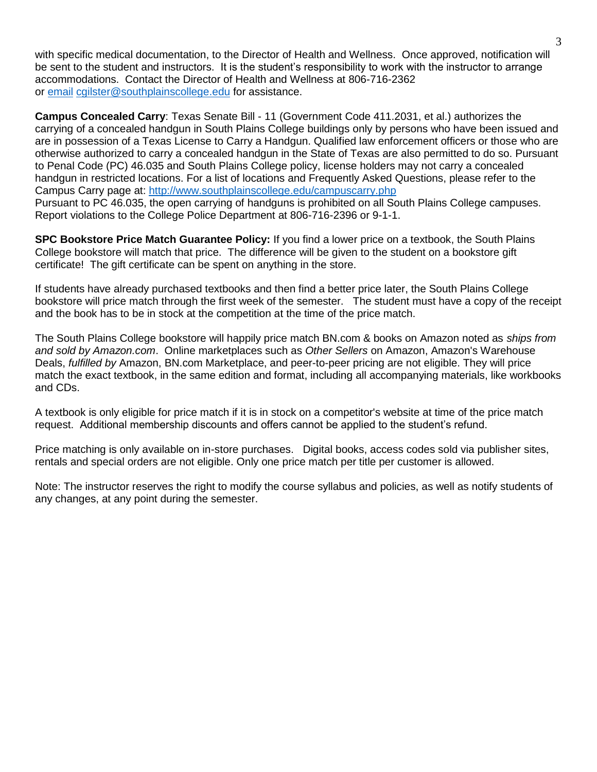with specific medical documentation, to the Director of Health and Wellness. Once approved, notification will be sent to the student and instructors. It is the student's responsibility to work with the instructor to arrange accommodations. Contact the Director of Health and Wellness at 806-716-2362 or [email](http://www.southplainscollege.edu/employees/manualshandbooks/facultyhandbook/sec4.php) [cgilster@southplainscollege.edu](mailto:cgilster@southplainscollege.edu) for assistance.

**Campus Concealed Carry**: Texas Senate Bill - 11 (Government Code 411.2031, et al.) authorizes the carrying of a concealed handgun in South Plains College buildings only by persons who have been issued and are in possession of a Texas License to Carry a Handgun. Qualified law enforcement officers or those who are otherwise authorized to carry a concealed handgun in the State of Texas are also permitted to do so. Pursuant to Penal Code (PC) 46.035 and South Plains College policy, license holders may not carry a concealed handgun in restricted locations. For a list of locations and Frequently Asked Questions, please refer to the Campus Carry page at: <http://www.southplainscollege.edu/campuscarry.php> Pursuant to PC 46.035, the open carrying of handguns is prohibited on all South Plains College campuses. Report violations to the College Police Department at 806-716-2396 or 9-1-1.

**SPC Bookstore Price Match Guarantee Policy:** If you find a lower price on a textbook, the South Plains College bookstore will match that price. The difference will be given to the student on a bookstore gift certificate! The gift certificate can be spent on anything in the store.

If students have already purchased textbooks and then find a better price later, the South Plains College bookstore will price match through the first week of the semester. The student must have a copy of the receipt and the book has to be in stock at the competition at the time of the price match.

The South Plains College bookstore will happily price match BN.com & books on Amazon noted as *ships from and sold by Amazon.com*. Online marketplaces such as *Other Sellers* on Amazon, Amazon's Warehouse Deals, *fulfilled by* Amazon, BN.com Marketplace, and peer-to-peer pricing are not eligible. They will price match the exact textbook, in the same edition and format, including all accompanying materials, like workbooks and CDs.

A textbook is only eligible for price match if it is in stock on a competitor's website at time of the price match request. Additional membership discounts and offers cannot be applied to the student's refund.

Price matching is only available on in-store purchases. Digital books, access codes sold via publisher sites, rentals and special orders are not eligible. Only one price match per title per customer is allowed.

Note: The instructor reserves the right to modify the course syllabus and policies, as well as notify students of any changes, at any point during the semester.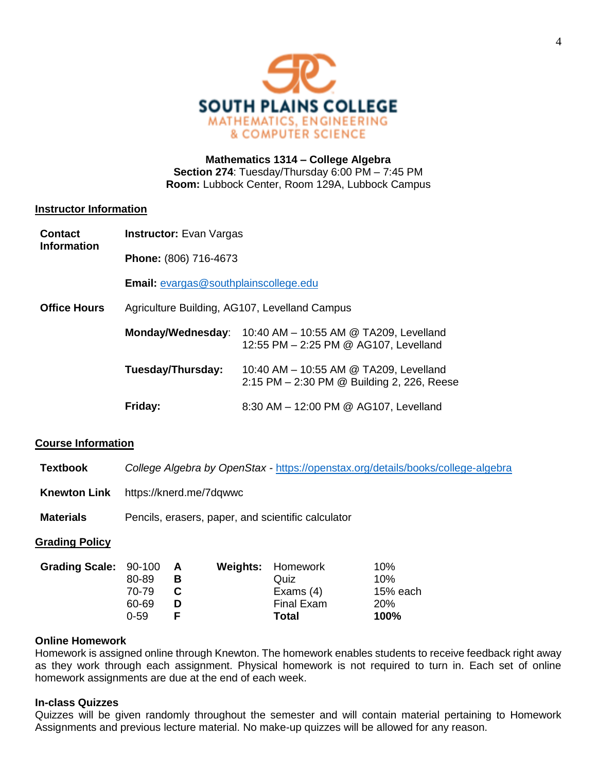

# **Mathematics 1314 – College Algebra Section 274**: Tuesday/Thursday 6:00 PM – 7:45 PM **Room:** Lubbock Center, Room 129A, Lubbock Campus

# **Instructor Information**

| <b>Contact</b><br><b>Information</b> | <b>Instructor:</b> Evan Vargas                |                                                                                      |  |  |  |
|--------------------------------------|-----------------------------------------------|--------------------------------------------------------------------------------------|--|--|--|
|                                      | Phone: (806) 716-4673                         |                                                                                      |  |  |  |
|                                      | <b>Email:</b> evargas@southplainscollege.edu  |                                                                                      |  |  |  |
| <b>Office Hours</b>                  | Agriculture Building, AG107, Levelland Campus |                                                                                      |  |  |  |
|                                      | Monday/Wednesday:                             | 10:40 AM - 10:55 AM @ TA209, Levelland<br>12:55 PM - 2:25 PM @ AG107, Levelland      |  |  |  |
|                                      | Tuesday/Thursday:                             | 10:40 AM - 10:55 AM @ TA209, Levelland<br>2:15 PM – 2:30 PM @ Building 2, 226, Reese |  |  |  |
|                                      | Friday:                                       | 8:30 AM - 12:00 PM @ AG107, Levelland                                                |  |  |  |

## **Course Information**

**Textbook** *College Algebra by OpenStax -* <https://openstax.org/details/books/college-algebra>

- **Knewton Link** https://knerd.me/7dqwwc
- **Materials** Pencils, erasers, paper, and scientific calculator

## **Grading Policy**

| Grading Scale: 90-100 A |          |    | <b>Weights: Homework</b> | 10%        |
|-------------------------|----------|----|--------------------------|------------|
|                         | 80-89    | в  | Quiz                     | 10%        |
|                         | 70-79    | -C | Exams $(4)$              | 15% each   |
|                         | 60-69    | D  | <b>Final Exam</b>        | <b>20%</b> |
|                         | $0 - 59$ |    | Total                    | 100%       |

# **Online Homework**

Homework is assigned online through Knewton. The homework enables students to receive feedback right away as they work through each assignment. Physical homework is not required to turn in. Each set of online homework assignments are due at the end of each week.

## **In-class Quizzes**

Quizzes will be given randomly throughout the semester and will contain material pertaining to Homework Assignments and previous lecture material. No make-up quizzes will be allowed for any reason.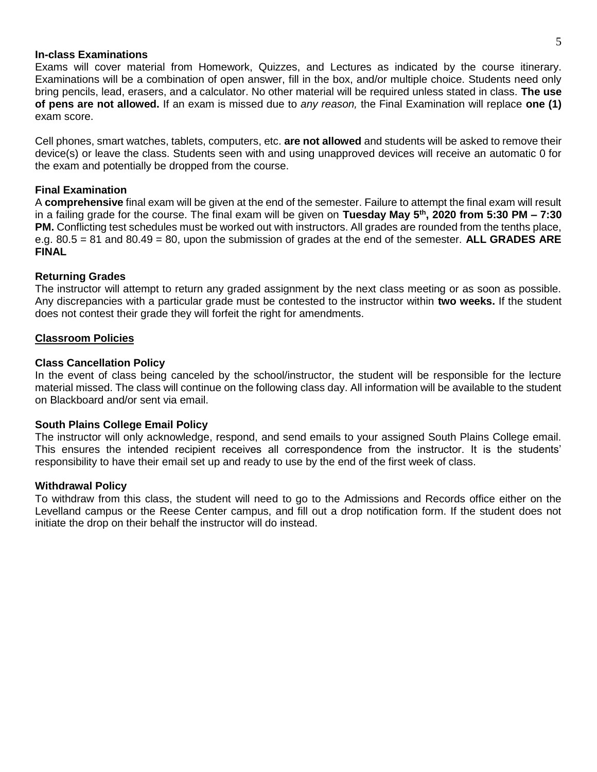#### **In-class Examinations**

Exams will cover material from Homework, Quizzes, and Lectures as indicated by the course itinerary. Examinations will be a combination of open answer, fill in the box, and/or multiple choice. Students need only bring pencils, lead, erasers, and a calculator. No other material will be required unless stated in class. **The use of pens are not allowed.** If an exam is missed due to *any reason,* the Final Examination will replace **one (1)** exam score.

Cell phones, smart watches, tablets, computers, etc. **are not allowed** and students will be asked to remove their device(s) or leave the class. Students seen with and using unapproved devices will receive an automatic 0 for the exam and potentially be dropped from the course.

# **Final Examination**

A **comprehensive** final exam will be given at the end of the semester. Failure to attempt the final exam will result in a failing grade for the course. The final exam will be given on **Tuesday May 5th, 2020 from 5:30 PM – 7:30 PM.** Conflicting test schedules must be worked out with instructors. All grades are rounded from the tenths place, e.g. 80.5 = 81 and 80.49 = 80, upon the submission of grades at the end of the semester. **ALL GRADES ARE FINAL**

# **Returning Grades**

The instructor will attempt to return any graded assignment by the next class meeting or as soon as possible. Any discrepancies with a particular grade must be contested to the instructor within **two weeks.** If the student does not contest their grade they will forfeit the right for amendments.

## **Classroom Policies**

## **Class Cancellation Policy**

In the event of class being canceled by the school/instructor, the student will be responsible for the lecture material missed. The class will continue on the following class day. All information will be available to the student on Blackboard and/or sent via email.

## **South Plains College Email Policy**

The instructor will only acknowledge, respond, and send emails to your assigned South Plains College email. This ensures the intended recipient receives all correspondence from the instructor. It is the students' responsibility to have their email set up and ready to use by the end of the first week of class.

## **Withdrawal Policy**

To withdraw from this class, the student will need to go to the Admissions and Records office either on the Levelland campus or the Reese Center campus, and fill out a drop notification form. If the student does not initiate the drop on their behalf the instructor will do instead.